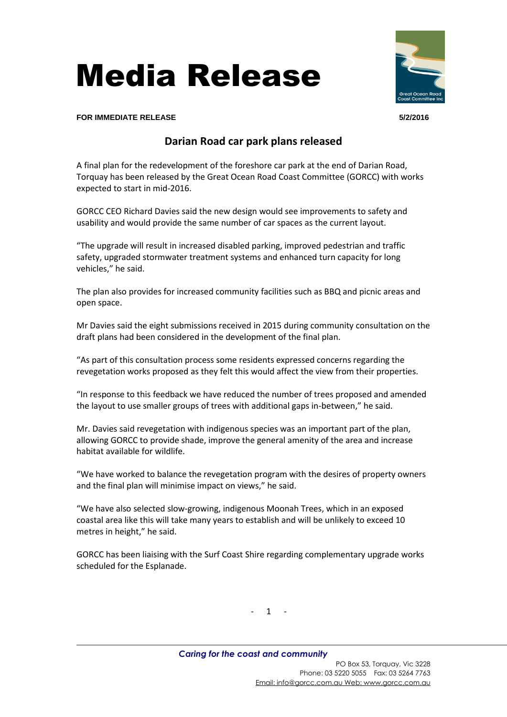



**FOR IMMEDIATE RELEASE 5/2/2016**

## **Darian Road car park plans released**

A final plan for the redevelopment of the foreshore car park at the end of Darian Road, Torquay has been released by the Great Ocean Road Coast Committee (GORCC) with works expected to start in mid-2016.

GORCC CEO Richard Davies said the new design would see improvements to safety and usability and would provide the same number of car spaces as the current layout.

"The upgrade will result in increased disabled parking, improved pedestrian and traffic safety, upgraded stormwater treatment systems and enhanced turn capacity for long vehicles," he said.

The plan also provides for increased community facilities such as BBQ and picnic areas and open space.

Mr Davies said the eight submissions received in 2015 during community consultation on the draft plans had been considered in the development of the final plan.

"As part of this consultation process some residents expressed concerns regarding the revegetation works proposed as they felt this would affect the view from their properties.

"In response to this feedback we have reduced the number of trees proposed and amended the layout to use smaller groups of trees with additional gaps in-between," he said.

Mr. Davies said revegetation with indigenous species was an important part of the plan, allowing GORCC to provide shade, improve the general amenity of the area and increase habitat available for wildlife.

"We have worked to balance the revegetation program with the desires of property owners and the final plan will minimise impact on views," he said.

"We have also selected slow-growing, indigenous Moonah Trees, which in an exposed coastal area like this will take many years to establish and will be unlikely to exceed 10 metres in height," he said.

GORCC has been liaising with the Surf Coast Shire regarding complementary upgrade works scheduled for the Esplanade.

 $- 1 - 1$